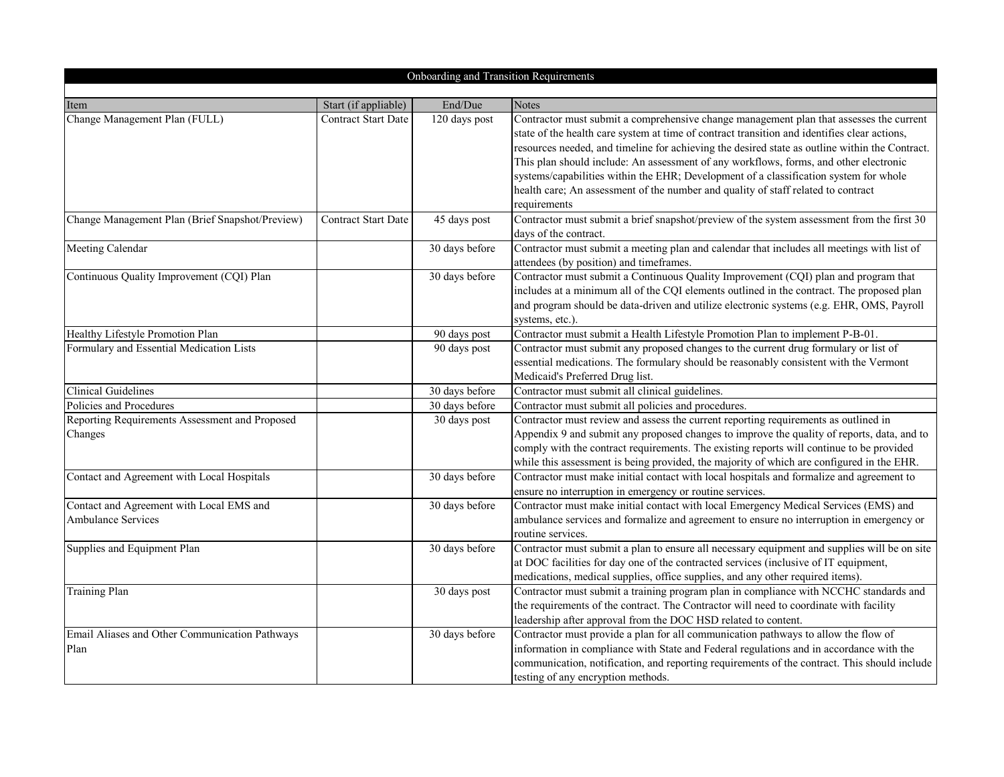| Onboarding and Transition Requirements                                |                            |                |                                                                                                                                                                                                                                                                                                                                                                                                                                                                                                                                                                                  |  |
|-----------------------------------------------------------------------|----------------------------|----------------|----------------------------------------------------------------------------------------------------------------------------------------------------------------------------------------------------------------------------------------------------------------------------------------------------------------------------------------------------------------------------------------------------------------------------------------------------------------------------------------------------------------------------------------------------------------------------------|--|
|                                                                       |                            |                |                                                                                                                                                                                                                                                                                                                                                                                                                                                                                                                                                                                  |  |
| Item                                                                  | Start (if appliable)       | End/Due        | <b>Notes</b>                                                                                                                                                                                                                                                                                                                                                                                                                                                                                                                                                                     |  |
| Change Management Plan (FULL)                                         | <b>Contract Start Date</b> | 120 days post  | Contractor must submit a comprehensive change management plan that assesses the current<br>state of the health care system at time of contract transition and identifies clear actions,<br>resources needed, and timeline for achieving the desired state as outline within the Contract.<br>This plan should include: An assessment of any workflows, forms, and other electronic<br>systems/capabilities within the EHR; Development of a classification system for whole<br>health care; An assessment of the number and quality of staff related to contract<br>requirements |  |
| Change Management Plan (Brief Snapshot/Preview)                       | <b>Contract Start Date</b> | 45 days post   | Contractor must submit a brief snapshot/preview of the system assessment from the first 30<br>days of the contract.                                                                                                                                                                                                                                                                                                                                                                                                                                                              |  |
| Meeting Calendar                                                      |                            | 30 days before | Contractor must submit a meeting plan and calendar that includes all meetings with list of<br>attendees (by position) and timeframes.                                                                                                                                                                                                                                                                                                                                                                                                                                            |  |
| Continuous Quality Improvement (CQI) Plan                             |                            | 30 days before | Contractor must submit a Continuous Quality Improvement (CQI) plan and program that<br>includes at a minimum all of the CQI elements outlined in the contract. The proposed plan<br>and program should be data-driven and utilize electronic systems (e.g. EHR, OMS, Payroll<br>systems, etc.).                                                                                                                                                                                                                                                                                  |  |
| Healthy Lifestyle Promotion Plan                                      |                            | 90 days post   | Contractor must submit a Health Lifestyle Promotion Plan to implement P-B-01.                                                                                                                                                                                                                                                                                                                                                                                                                                                                                                    |  |
| Formulary and Essential Medication Lists                              |                            | 90 days post   | Contractor must submit any proposed changes to the current drug formulary or list of<br>essential medications. The formulary should be reasonably consistent with the Vermont<br>Medicaid's Preferred Drug list.                                                                                                                                                                                                                                                                                                                                                                 |  |
| <b>Clinical Guidelines</b>                                            |                            | 30 days before | Contractor must submit all clinical guidelines.                                                                                                                                                                                                                                                                                                                                                                                                                                                                                                                                  |  |
| Policies and Procedures                                               |                            | 30 days before | Contractor must submit all policies and procedures.                                                                                                                                                                                                                                                                                                                                                                                                                                                                                                                              |  |
| Reporting Requirements Assessment and Proposed<br>Changes             |                            | 30 days post   | Contractor must review and assess the current reporting requirements as outlined in<br>Appendix 9 and submit any proposed changes to improve the quality of reports, data, and to<br>comply with the contract requirements. The existing reports will continue to be provided<br>while this assessment is being provided, the majority of which are configured in the EHR.                                                                                                                                                                                                       |  |
| Contact and Agreement with Local Hospitals                            |                            | 30 days before | Contractor must make initial contact with local hospitals and formalize and agreement to<br>ensure no interruption in emergency or routine services.                                                                                                                                                                                                                                                                                                                                                                                                                             |  |
| Contact and Agreement with Local EMS and<br><b>Ambulance Services</b> |                            | 30 days before | Contractor must make initial contact with local Emergency Medical Services (EMS) and<br>ambulance services and formalize and agreement to ensure no interruption in emergency or<br>routine services.                                                                                                                                                                                                                                                                                                                                                                            |  |
| Supplies and Equipment Plan                                           |                            | 30 days before | Contractor must submit a plan to ensure all necessary equipment and supplies will be on site<br>at DOC facilities for day one of the contracted services (inclusive of IT equipment,<br>medications, medical supplies, office supplies, and any other required items).                                                                                                                                                                                                                                                                                                           |  |
| <b>Training Plan</b>                                                  |                            | 30 days post   | Contractor must submit a training program plan in compliance with NCCHC standards and<br>the requirements of the contract. The Contractor will need to coordinate with facility<br>leadership after approval from the DOC HSD related to content.                                                                                                                                                                                                                                                                                                                                |  |
| Email Aliases and Other Communication Pathways<br>Plan                |                            | 30 days before | Contractor must provide a plan for all communication pathways to allow the flow of<br>information in compliance with State and Federal regulations and in accordance with the<br>communication, notification, and reporting requirements of the contract. This should include<br>testing of any encryption methods.                                                                                                                                                                                                                                                              |  |